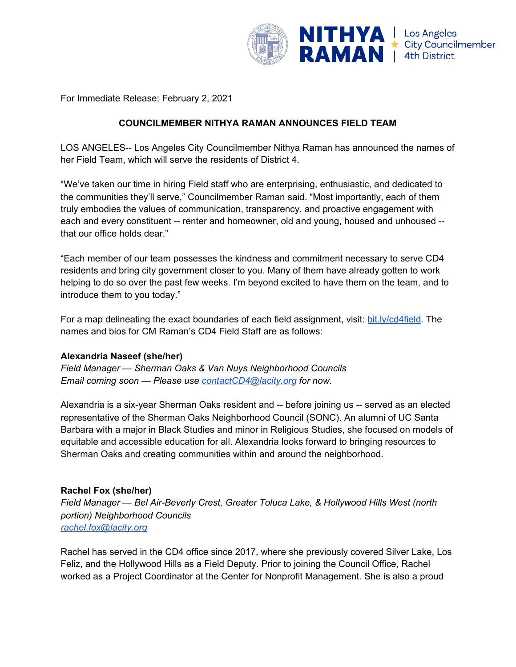

For Immediate Release: February 2, 2021

# **COUNCILMEMBER NITHYA RAMAN ANNOUNCES FIELD TEAM**

LOS ANGELES-- Los Angeles City Councilmember Nithya Raman has announced the names of her Field Team, which will serve the residents of District 4.

"We've taken our time in hiring Field staff who are enterprising, enthusiastic, and dedicated to the communities they'll serve," Councilmember Raman said. "Most importantly, each of them truly embodies the values of communication, transparency, and proactive engagement with each and every constituent -- renter and homeowner, old and young, housed and unhoused - that our office holds dear."

"Each member of our team possesses the kindness and commitment necessary to serve CD4 residents and bring city government closer to you. Many of them have already gotten to work helping to do so over the past few weeks. I'm beyond excited to have them on the team, and to introduce them to you today."

For a map delineating the exact boundaries of each field assignment, visit: [bit.ly/cd4field.](http://bit.ly/cd4field) The names and bios for CM Raman's CD4 Field Staff are as follows:

## **Alexandria Naseef (she/her)**

*Field Manager — Sherman Oaks & Van Nuys Neighborhood Councils Email coming soon — Please use [contactCD4@lacity.org](mailto:contactCD4@lacity.org) for now.*

Alexandria is a six-year Sherman Oaks resident and -- before joining us -- served as an elected representative of the Sherman Oaks Neighborhood Council (SONC). An alumni of UC Santa Barbara with a major in Black Studies and minor in Religious Studies, she focused on models of equitable and accessible education for all. Alexandria looks forward to bringing resources to Sherman Oaks and creating communities within and around the neighborhood.

#### **Rachel Fox (she/her)**

*Field Manager — Bel Air-Beverly Crest, Greater Toluca Lake, & Hollywood Hills West (north portion) Neighborhood Councils [rachel.fox@lacity.org](mailto:rachel.fox@lacity.org)*

Rachel has served in the CD4 office since 2017, where she previously covered Silver Lake, Los Feliz, and the Hollywood Hills as a Field Deputy. Prior to joining the Council Office, Rachel worked as a Project Coordinator at the Center for Nonprofit Management. She is also a proud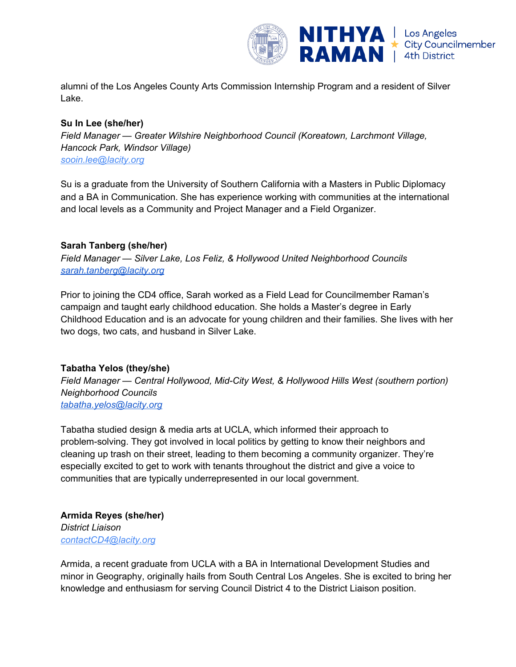

alumni of the Los Angeles County Arts Commission Internship Program and a resident of Silver Lake.

#### **Su In Lee (she/her)**

*Field Manager — Greater Wilshire Neighborhood Council (Koreatown, Larchmont Village, Hancock Park, Windsor Village) sooin.lee@lacity.org*

Su is a graduate from the University of Southern California with a Masters in Public Diplomacy and a BA in Communication. She has experience working with communities at the international and local levels as a Community and Project Manager and a Field Organizer.

### **Sarah Tanberg (she/her)**

*Field Manager — Silver Lake, Los Feliz, & Hollywood United Neighborhood Councils [sarah.tanberg@lacity.org](mailto:sarah.tanberg@lacity.org)*

Prior to joining the CD4 office, Sarah worked as a Field Lead for Councilmember Raman's campaign and taught early childhood education. She holds a Master's degree in Early Childhood Education and is an advocate for young children and their families. She lives with her two dogs, two cats, and husband in Silver Lake.

## **Tabatha Yelos (they/she)**

*Field Manager — Central Hollywood, Mid-City West, & Hollywood Hills West (southern portion) Neighborhood Councils [tabatha.yelos@lacity.org](mailto:tabatha.yelos@lacity.org)*

Tabatha studied design & media arts at UCLA, which informed their approach to problem-solving. They got involved in local politics by getting to know their neighbors and cleaning up trash on their street, leading to them becoming a community organizer. They're especially excited to get to work with tenants throughout the district and give a voice to communities that are typically underrepresented in our local government.

## **Armida Reyes (she/her)** *District Liaison contactCD4@lacity.org*

Armida, a recent graduate from UCLA with a BA in International Development Studies and minor in Geography, originally hails from South Central Los Angeles. She is excited to bring her knowledge and enthusiasm for serving Council District 4 to the District Liaison position.